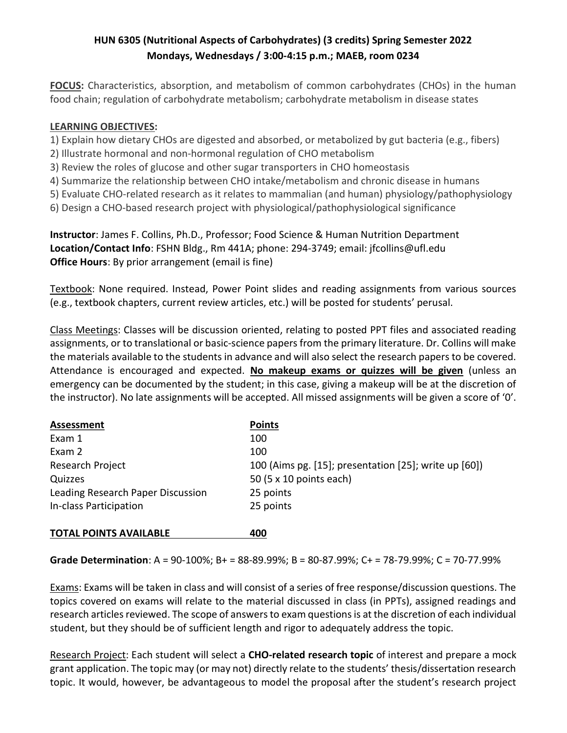# HUN 6305 (Nutritional Aspects of Carbohydrates) (3 credits) Spring Semester 2022 Mondays, Wednesdays / 3:00-4:15 p.m.; MAEB, room 0234

FOCUS: Characteristics, absorption, and metabolism of common carbohydrates (CHOs) in the human food chain; regulation of carbohydrate metabolism; carbohydrate metabolism in disease states

### LEARNING OBJECTIVES:

- 1) Explain how dietary CHOs are digested and absorbed, or metabolized by gut bacteria (e.g., fibers)
- 2) Illustrate hormonal and non-hormonal regulation of CHO metabolism
- 3) Review the roles of glucose and other sugar transporters in CHO homeostasis
- 4) Summarize the relationship between CHO intake/metabolism and chronic disease in humans
- 5) Evaluate CHO-related research as it relates to mammalian (and human) physiology/pathophysiology
- 6) Design a CHO-based research project with physiological/pathophysiological significance

Instructor: James F. Collins, Ph.D., Professor; Food Science & Human Nutrition Department Location/Contact Info: FSHN Bldg., Rm 441A; phone: 294-3749; email: jfcollins@ufl.edu **Office Hours:** By prior arrangement (email is fine)

Textbook: None required. Instead, Power Point slides and reading assignments from various sources (e.g., textbook chapters, current review articles, etc.) will be posted for students' perusal.

Class Meetings: Classes will be discussion oriented, relating to posted PPT files and associated reading assignments, or to translational or basic-science papers from the primary literature. Dr. Collins will make the materials available to the students in advance and will also select the research papers to be covered. Attendance is encouraged and expected. No makeup exams or quizzes will be given (unless an emergency can be documented by the student; in this case, giving a makeup will be at the discretion of the instructor). No late assignments will be accepted. All missed assignments will be given a score of '0'.

| Assessment                        | <b>Points</b>                                         |
|-----------------------------------|-------------------------------------------------------|
| Exam 1                            | 100                                                   |
| Exam 2                            | 100                                                   |
| Research Project                  | 100 (Aims pg. [15]; presentation [25]; write up [60]) |
| Quizzes                           | 50 (5 x 10 points each)                               |
| Leading Research Paper Discussion | 25 points                                             |
| In-class Participation            | 25 points                                             |
| <b>TOTAL POINTS AVAILABLE</b>     | 400                                                   |

#### Grade Determination: A = 90-100%; B+ = 88-89.99%; B = 80-87.99%; C+ = 78-79.99%; C = 70-77.99%

Exams: Exams will be taken in class and will consist of a series of free response/discussion questions. The topics covered on exams will relate to the material discussed in class (in PPTs), assigned readings and research articles reviewed. The scope of answers to exam questions is at the discretion of each individual student, but they should be of sufficient length and rigor to adequately address the topic.

Research Project: Each student will select a CHO-related research topic of interest and prepare a mock grant application. The topic may (or may not) directly relate to the students' thesis/dissertation research topic. It would, however, be advantageous to model the proposal after the student's research project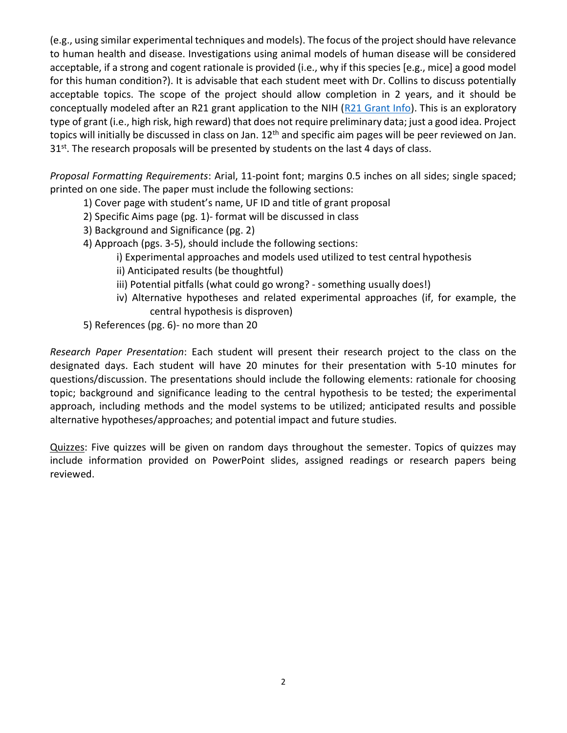(e.g., using similar experimental techniques and models). The focus of the project should have relevance to human health and disease. Investigations using animal models of human disease will be considered acceptable, if a strong and cogent rationale is provided (i.e., why if this species [e.g., mice] a good model for this human condition?). It is advisable that each student meet with Dr. Collins to discuss potentially acceptable topics. The scope of the project should allow completion in 2 years, and it should be conceptually modeled after an R21 grant application to the NIH (R21 Grant Info). This is an exploratory type of grant (i.e., high risk, high reward) that does not require preliminary data; just a good idea. Project topics will initially be discussed in class on Jan.  $12<sup>th</sup>$  and specific aim pages will be peer reviewed on Jan. 31<sup>st</sup>. The research proposals will be presented by students on the last 4 days of class.

Proposal Formatting Requirements: Arial, 11-point font; margins 0.5 inches on all sides; single spaced; printed on one side. The paper must include the following sections:

- 1) Cover page with student's name, UF ID and title of grant proposal
- 2) Specific Aims page (pg. 1)- format will be discussed in class
- 3) Background and Significance (pg. 2)
- 4) Approach (pgs. 3-5), should include the following sections:
	- i) Experimental approaches and models used utilized to test central hypothesis
	- ii) Anticipated results (be thoughtful)
	- iii) Potential pitfalls (what could go wrong? something usually does!)
	- iv) Alternative hypotheses and related experimental approaches (if, for example, the central hypothesis is disproven)
- 5) References (pg. 6)- no more than 20

Research Paper Presentation: Each student will present their research project to the class on the designated days. Each student will have 20 minutes for their presentation with 5-10 minutes for questions/discussion. The presentations should include the following elements: rationale for choosing topic; background and significance leading to the central hypothesis to be tested; the experimental approach, including methods and the model systems to be utilized; anticipated results and possible alternative hypotheses/approaches; and potential impact and future studies.

Quizzes: Five quizzes will be given on random days throughout the semester. Topics of quizzes may include information provided on PowerPoint slides, assigned readings or research papers being reviewed.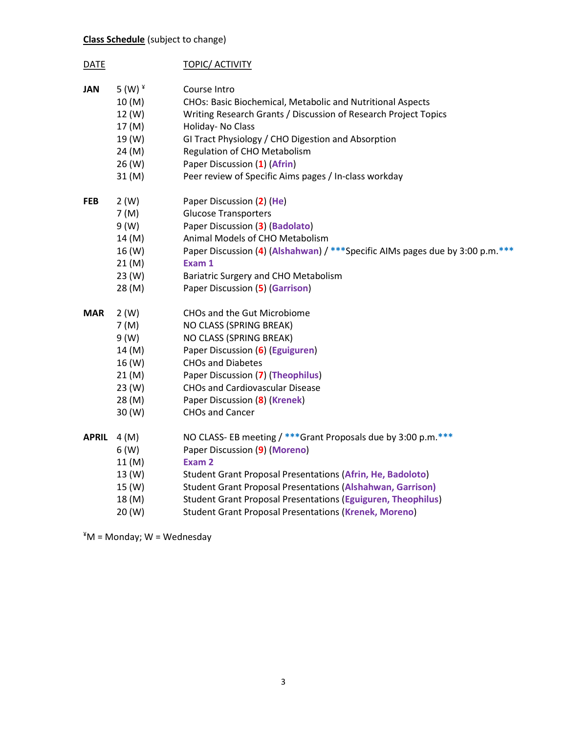## Class Schedule (subject to change)

| <b>DATE</b>  |                                                                                  | <b>TOPIC/ ACTIVITY</b>                                                                                                                                                                                                                                                                                                                                                                     |
|--------------|----------------------------------------------------------------------------------|--------------------------------------------------------------------------------------------------------------------------------------------------------------------------------------------------------------------------------------------------------------------------------------------------------------------------------------------------------------------------------------------|
| <b>JAN</b>   | 5 (W) $*$<br>10 (M)<br>12 (W)<br>17 (M)<br>19 (W)<br>24 (M)<br>26 (W)<br>31 (M)  | Course Intro<br>CHOs: Basic Biochemical, Metabolic and Nutritional Aspects<br>Writing Research Grants / Discussion of Research Project Topics<br>Holiday- No Class<br>GI Tract Physiology / CHO Digestion and Absorption<br>Regulation of CHO Metabolism<br>Paper Discussion (1) (Afrin)<br>Peer review of Specific Aims pages / In-class workday                                          |
| <b>FEB</b>   | 2(W)<br>7(M)<br>9 (W)<br>14 (M)<br>16 (W)<br>21(M)<br>23 (W)<br>28 (M)           | Paper Discussion (2) (He)<br><b>Glucose Transporters</b><br>Paper Discussion (3) (Badolato)<br>Animal Models of CHO Metabolism<br>Paper Discussion (4) (Alshahwan) / *** Specific AIMs pages due by 3:00 p.m. ***<br>Exam 1<br>Bariatric Surgery and CHO Metabolism<br>Paper Discussion (5) (Garrison)                                                                                     |
| MAR          | 2(W)<br>7(M)<br>9 (W)<br>14 (M)<br>16 (W)<br>21(M)<br>23 (W)<br>28 (M)<br>30 (W) | CHOs and the Gut Microbiome<br>NO CLASS (SPRING BREAK)<br>NO CLASS (SPRING BREAK)<br>Paper Discussion (6) (Eguiguren)<br><b>CHOs and Diabetes</b><br>Paper Discussion (7) (Theophilus)<br><b>CHOs and Cardiovascular Disease</b><br>Paper Discussion (8) (Krenek)<br><b>CHOs and Cancer</b>                                                                                                |
| <b>APRIL</b> | 4(M)<br>6(W)<br>11(M)<br>13 (W)<br>15 (W)<br>18 (M)<br>20 (W)                    | NO CLASS- EB meeting / *** Grant Proposals due by 3:00 p.m ***<br>Paper Discussion (9) (Moreno)<br>Exam 2<br><b>Student Grant Proposal Presentations (Afrin, He, Badoloto)</b><br><b>Student Grant Proposal Presentations (Alshahwan, Garrison)</b><br><b>Student Grant Proposal Presentations (Eguiguren, Theophilus)</b><br><b>Student Grant Proposal Presentations (Krenek, Moreno)</b> |

¥M = Monday; W = Wednesday